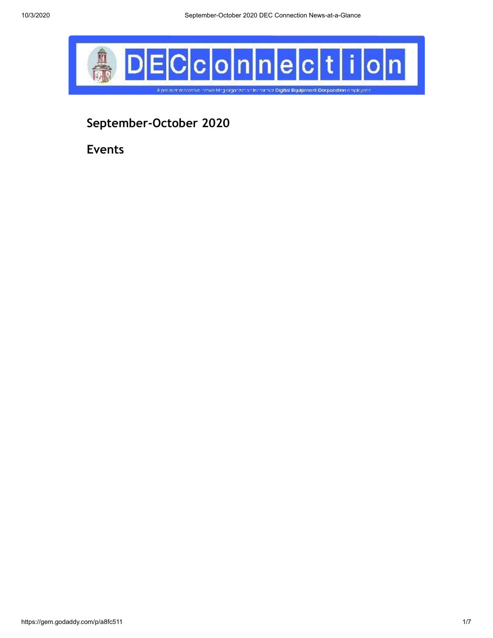

**September-October 2020**

**Events**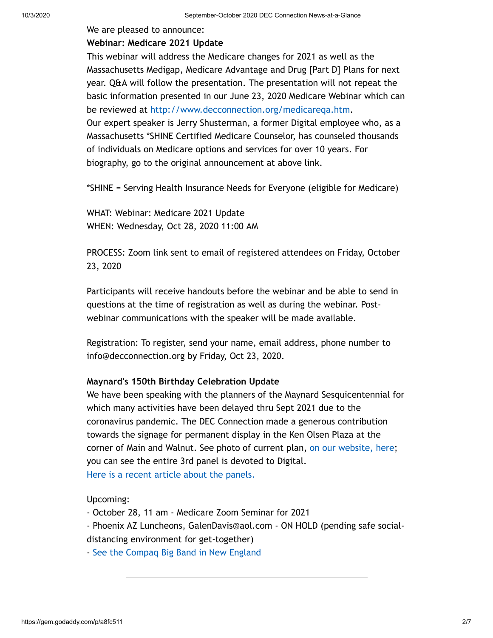#### We are pleased to announce:

#### **Webinar: Medicare 2021 Update**

This webinar will address the Medicare changes for 2021 as well as the Massachusetts Medigap, Medicare Advantage and Drug [Part D] Plans for next year. Q&A will follow the presentation. The presentation will not repeat the basic information presented in our June 23, 2020 Medicare Webinar which can be reviewed at [http://www.decconnection.org/medicareqa.htm.](http://www.decconnection.org/medicareqa.htm) Our expert speaker is Jerry Shusterman, a former Digital employee who, as a Massachusetts \*SHINE Certified Medicare Counselor, has counseled thousands of individuals on Medicare options and services for over 10 years. For

biography, go to the original announcement at above link.

\*SHINE = Serving Health Insurance Needs for Everyone (eligible for Medicare)

WHAT: Webinar: Medicare 2021 Update WHEN: Wednesday, Oct 28, 2020 11:00 AM

PROCESS: Zoom link sent to email of registered attendees on Friday, October 23, 2020

Participants will receive handouts before the webinar and be able to send in questions at the time of registration as well as during the webinar. Postwebinar communications with the speaker will be made available.

Registration: To register, send your name, email address, phone number to info@decconnection.org by Friday, Oct 23, 2020.

#### **Maynard's 150th Birthday Celebration Update**

We have been speaking with the planners of the Maynard Sesquicentennial for which many activities have been delayed thru Sept 2021 due to the coronavirus pandemic. The DEC Connection made a generous contribution towards the signage for permanent display in the Ken Olsen Plaza at the corner of Main and Walnut. See photo of current plan, [on our website, here;](http://www.decconnection.org/maynard-ma-150/Mill-Marker-sbs-layout7.3.20.pdf) you can see the entire 3rd panel is devoted to Digital. [Here is a recent article about the panels.](http://www.decconnection.org/articles/MaynardPanels.pdf)

Upcoming:

- October 28, 11 am - Medicare Zoom Seminar for 2021

- Phoenix AZ Luncheons, GalenDavis@aol.com - ON HOLD (pending safe socialdistancing environment for get-together)

- [See the Compaq Big Band in New England](http://www.compaqbigband.com/gigs.php)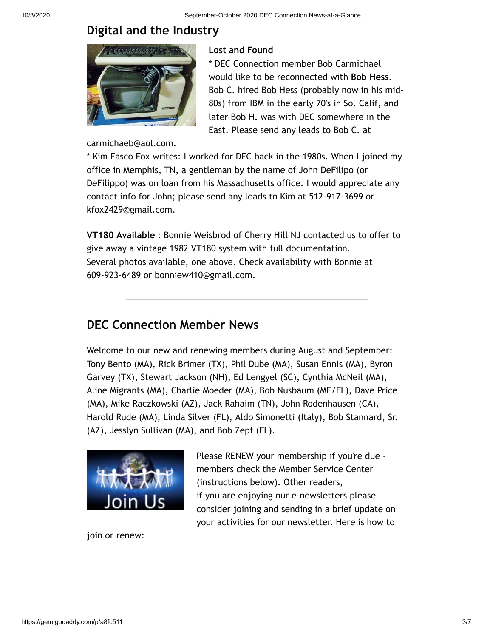# **Digital and the Industry**



carmichaeb@aol.com.

### **Lost and Found**

\* DEC Connection member Bob Carmichael would like to be reconnected with **Bob Hess**. Bob C. hired Bob Hess (probably now in his mid-80s) from IBM in the early 70's in So. Calif, and later Bob H. was with DEC somewhere in the East. Please send any leads to Bob C. at

\* Kim Fasco Fox writes: I worked for DEC back in the 1980s. When I joined my office in Memphis, TN, a gentleman by the name of John DeFilipo (or DeFilippo) was on loan from his Massachusetts office. I would appreciate any contact info for John; please send any leads to Kim at 512-917-3699 or kfox2429@gmail.com.

**VT180 Available** : Bonnie Weisbrod of Cherry Hill NJ contacted us to offer to give away a vintage 1982 VT180 system with full documentation. Several photos available, one above. Check availability with Bonnie at 609-923-6489 or bonniew410@gmail.com.

# **DEC Connection Member News**

Welcome to our new and renewing members during August and September: Tony Bento (MA), Rick Brimer (TX), Phil Dube (MA), Susan Ennis (MA), Byron Garvey (TX), Stewart Jackson (NH), Ed Lengyel (SC), Cynthia McNeil (MA), Aline Migrants (MA), Charlie Moeder (MA), Bob Nusbaum (ME/FL), Dave Price (MA), Mike Raczkowski (AZ), Jack Rahaim (TN), John Rodenhausen (CA), Harold Rude (MA), Linda Silver (FL), Aldo Simonetti (Italy), Bob Stannard, Sr. (AZ), Jesslyn Sullivan (MA), and Bob Zepf (FL).



Please RENEW your membership if you're due members check the Member Service Center (instructions below). Other readers, if you are enjoying our e-newsletters please consider joining and sending in a brief update on your activities for our newsletter. Here is how to

join or renew: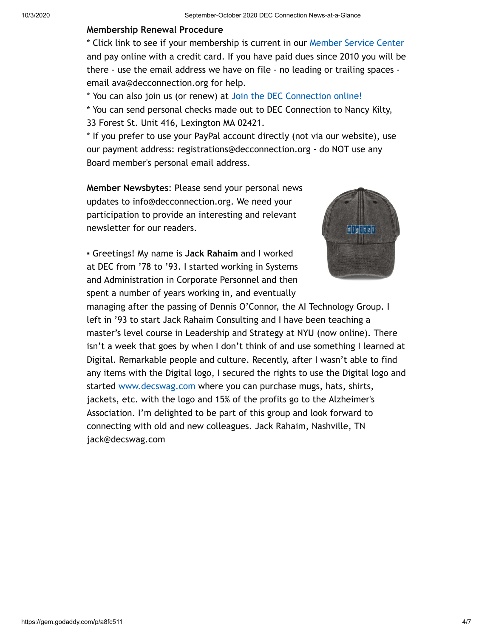#### **Membership Renewal Procedure**

\* Click link to see if your membership is current in our [Member Service Center](http://www.decconnection.org/msclogin.php) and pay online with a credit card. If you have paid dues since 2010 you will be there - use the email address we have on file - no leading or trailing spaces email ava@decconnection.org for help.

\* You can also join us (or renew) at [Join the DEC Connection online!](http://www.decconnection.org/join-online.htm)

\* You can send personal checks made out to DEC Connection to Nancy Kilty, 33 Forest St. Unit 416, Lexington MA 02421.

\* If you prefer to use your PayPal account directly (not via our website), use our payment address: registrations@decconnection.org - do NOT use any Board member's personal email address.

**Member Newsbytes**: Please send your personal news updates to info@decconnection.org. We need your participation to provide an interesting and relevant newsletter for our readers.

▪ Greetings! My name is **Jack Rahaim** and I worked at DEC from '78 to '93. I started working in Systems and Administration in Corporate Personnel and then spent a number of years working in, and eventually



managing after the passing of Dennis O'Connor, the AI Technology Group. I left in '93 to start Jack Rahaim Consulting and I have been teaching a master's level course in Leadership and Strategy at NYU (now online). There isn't a week that goes by when I don't think of and use something I learned at Digital. Remarkable people and culture. Recently, after I wasn't able to find any items with the Digital logo, I secured the rights to use the Digital logo and started [www.decswag.com](http://www.decswag.com/) where you can purchase mugs, hats, shirts, jackets, etc. with the logo and 15% of the profits go to the Alzheimer's Association. I'm delighted to be part of this group and look forward to connecting with old and new colleagues. Jack Rahaim, Nashville, TN jack@decswag.com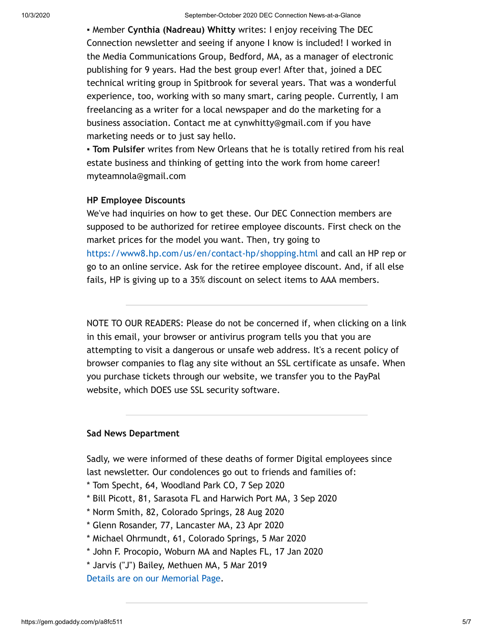▪ Member **Cynthia (Nadreau) Whitty** writes: I enjoy receiving The DEC Connection newsletter and seeing if anyone I know is included! I worked in the Media Communications Group, Bedford, MA, as a manager of electronic publishing for 9 years. Had the best group ever! After that, joined a DEC technical writing group in Spitbrook for several years. That was a wonderful experience, too, working with so many smart, caring people. Currently, I am freelancing as a writer for a local newspaper and do the marketing for a business association. Contact me at cynwhitty@gmail.com if you have marketing needs or to just say hello.

▪ **Tom Pulsifer** writes from New Orleans that he is totally retired from his real estate business and thinking of getting into the work from home career! myteamnola@gmail.com

#### **HP Employee Discounts**

We've had inquiries on how to get these. Our DEC Connection members are supposed to be authorized for retiree employee discounts. First check on the market prices for the model you want. Then, try going to <https://www8.hp.com/us/en/contact-hp/shopping.html> and call an HP rep or go to an online service. Ask for the retiree employee discount. And, if all else fails, HP is giving up to a 35% discount on select items to AAA members.

NOTE TO OUR READERS: Please do not be concerned if, when clicking on a link in this email, your browser or antivirus program tells you that you are attempting to visit a dangerous or unsafe web address. It's a recent policy of browser companies to flag any site without an SSL certificate as unsafe. When you purchase tickets through our website, we transfer you to the PayPal website, which DOES use SSL security software.

### **Sad News Department**

Sadly, we were informed of these deaths of former Digital employees since last newsletter. Our condolences go out to friends and families of:

- \* Tom Specht, 64, Woodland Park CO, 7 Sep 2020
- \* Bill Picott, 81, Sarasota FL and Harwich Port MA, 3 Sep 2020
- \* Norm Smith, 82, Colorado Springs, 28 Aug 2020
- \* Glenn Rosander, 77, Lancaster MA, 23 Apr 2020
- \* Michael Ohrmundt, 61, Colorado Springs, 5 Mar 2020
- \* John F. Procopio, Woburn MA and Naples FL, 17 Jan 2020
- \* Jarvis ("J") Bailey, Methuen MA, 5 Mar 2019

[Details are on our Memorial Page](http://www.decconnection.org/memorials.htm).